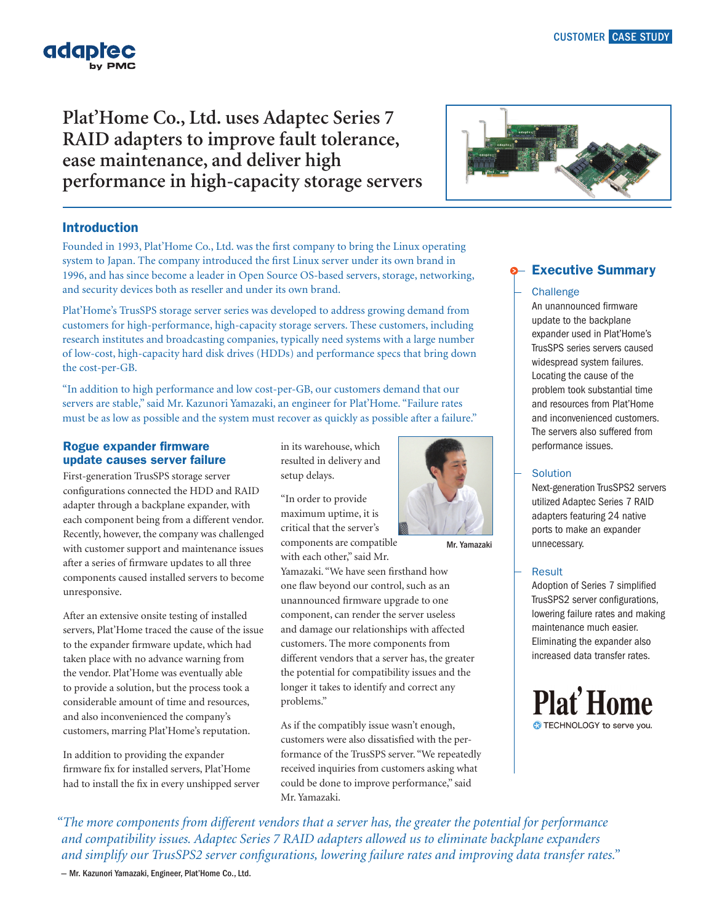# **Plat'Home Co., Ltd. uses Adaptec Series 7 RAID adapters to improve fault tolerance, ease maintenance, and deliver high performance in high-capacity storage servers**

## Introduction

Founded in 1993, Plat'Home Co., Ltd. was the first company to bring the Linux operating system to Japan. The company introduced the first Linux server under its own brand in 1996, and has since become a leader in Open Source OS-based servers, storage, networking, and security devices both as reseller and under its own brand.

Plat'Home's TrusSPS storage server series was developed to address growing demand from customers for high-performance, high-capacity storage servers. These customers, including research institutes and broadcasting companies, typically need systems with a large number of low-cost, high-capacity hard disk drives (HDDs) and performance specs that bring down the cost-per-GB.

"In addition to high performance and low cost-per-GB, our customers demand that our servers are stable," said Mr. Kazunori Yamazaki, an engineer for Plat'Home. "Failure rates must be as low as possible and the system must recover as quickly as possible after a failure."

### Rogue expander firmware update causes server failure

First-generation TrusSPS storage server configurations connected the HDD and RAID adapter through a backplane expander, with each component being from a different vendor. Recently, however, the company was challenged with customer support and maintenance issues after a series of firmware updates to all three components caused installed servers to become unresponsive.

After an extensive onsite testing of installed servers, Plat'Home traced the cause of the issue to the expander firmware update, which had taken place with no advance warning from the vendor. Plat'Home was eventually able to provide a solution, but the process took a considerable amount of time and resources, and also inconvenienced the company's customers, marring Plat'Home's reputation.

In addition to providing the expander firmware fix for installed servers, Plat'Home had to install the fix in every unshipped server in its warehouse, which resulted in delivery and setup delays.

"In order to provide maximum uptime, it is critical that the server's components are compatible

with each other," said Mr. Yamazaki. "We have seen firsthand how one flaw beyond our control, such as an unannounced firmware upgrade to one component, can render the server useless and damage our relationships with affected customers. The more components from different vendors that a server has, the greater the potential for compatibility issues and the longer it takes to identify and correct any problems."

As if the compatibly issue wasn't enough, customers were also dissatisfied with the performance of the TrusSPS server. "We repeatedly received inquiries from customers asking what could be done to improve performance," said Mr. Yamazaki.

Mr. Yamazaki

Executive Summary

### **Challenge**

An unannounced firmware update to the backplane expander used in Plat'Home's TrusSPS series servers caused widespread system failures. Locating the cause of the problem took substantial time and resources from Plat'Home and inconvenienced customers. The servers also suffered from performance issues.

## **Solution**

Next-generation TrusSPS2 servers utilized Adaptec Series 7 RAID adapters featuring 24 native ports to make an expander unnecessary.

## Result

Adoption of Series 7 simplified TrusSPS2 server configurations, lowering failure rates and making maintenance much easier. Eliminating the expander also increased data transfer rates.



*"The more components from different vendors that a server has, the greater the potential for performance and compatibility issues. Adaptec Series 7 RAID adapters allowed us to eliminate backplane expanders and simplify our TrusSPS2 server configurations, lowering failure rates and improving data transfer rates."* 

— Mr. Kazunori Yamazaki, Engineer, Plat'Home Co., Ltd.